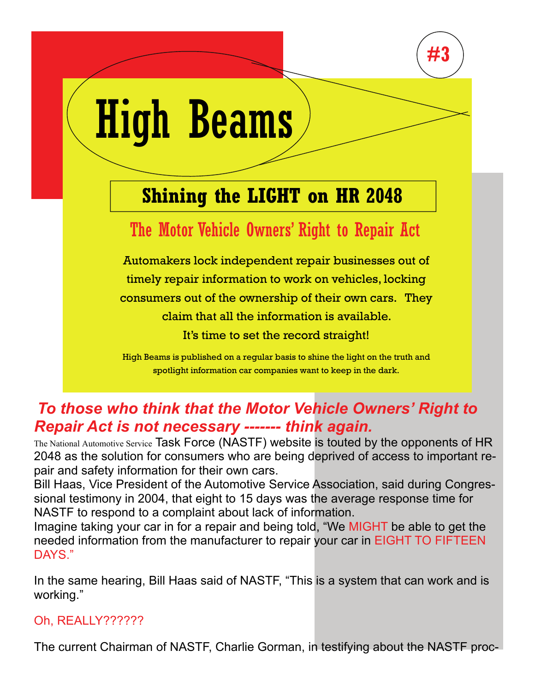

# High Beams

# **Shining the LIGHT on HR 2048**

## The Motor Vehicle Owners' Right to Repair Act

Automakers lock independent repair businesses out of timely repair information to work on vehicles, locking consumers out of the ownership of their own cars. They claim that all the information is available. It's time to set the record straight!

High Beams is published on a regular basis to shine the light on the truth and spotlight information car companies want to keep in the dark.

## *To those who think that the Motor Vehicle Owners' Right to Repair Act is not necessary ------- think again.*

The National Automotive Service Task Force (NASTF) website is touted by the opponents of HR 2048 as the solution for consumers who are being deprived of access to important repair and safety information for their own cars.

Bill Haas, Vice President of the Automotive Service Association, said during Congressional testimony in 2004, that eight to 15 days was the average response time for NASTF to respond to a complaint about lack of information.

Imagine taking your car in for a repair and being told, "We MIGHT be able to get the needed information from the manufacturer to repair your car in EIGHT TO FIFTEEN DAYS."

In the same hearing, Bill Haas said of NASTF, "This is a system that can work and is working."

### Oh, REALLY??????

The current Chairman of NASTF, Charlie Gorman, in testifying about the NASTF proc-